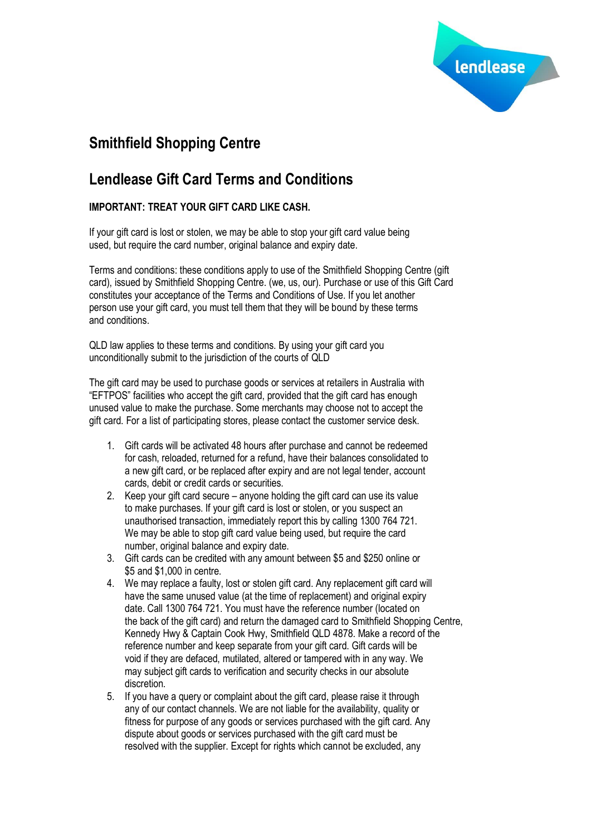

# **Smithfield Shopping Centre**

## **Lendlease Gift Card Terms and Conditions**

## **IMPORTANT: TREAT YOUR GIFT CARD LIKE CASH.**

If your gift card is lost or stolen, we may be able to stop your gift card value being used, but require the card number, original balance and expiry date.

Terms and conditions: these conditions apply to use of the Smithfield Shopping Centre (gift card), issued by Smithfield Shopping Centre. (we, us, our). Purchase or use of this Gift Card constitutes your acceptance of the Terms and Conditions of Use. If you let another person use your gift card, you must tell them that they will be bound by these terms and conditions.

QLD law applies to these terms and conditions. By using your gift card you unconditionally submit to the jurisdiction of the courts of QLD

The gift card may be used to purchase goods or services at retailers in Australia with "EFTPOS" facilities who accept the gift card, provided that the gift card has enough unused value to make the purchase. Some merchants may choose not to accept the gift card. For a list of participating stores, please contact the customer service desk.

- 1. Gift cards will be activated 48 hours after purchase and cannot be redeemed for cash, reloaded, returned for a refund, have their balances consolidated to a new gift card, or be replaced after expiry and are not legal tender, account cards, debit or credit cards or securities.
- 2. Keep your gift card secure anyone holding the gift card can use its value to make purchases. If your gift card is lost or stolen, or you suspect an unauthorised transaction, immediately report this by calling 1300 764 721. We may be able to stop gift card value being used, but require the card number, original balance and expiry date.
- 3. Gift cards can be credited with any amount between \$5 and \$250 online or \$5 and \$1,000 in centre.
- 4. We may replace a faulty, lost or stolen gift card. Any replacement gift card will have the same unused value (at the time of replacement) and original expiry date. Call 1300 764 721. You must have the reference number (located on the back of the gift card) and return the damaged card to Smithfield Shopping Centre, Kennedy Hwy & Captain Cook Hwy, Smithfield QLD 4878. Make a record of the reference number and keep separate from your gift card. Gift cards will be void if they are defaced, mutilated, altered or tampered with in any way. We may subject gift cards to verification and security checks in our absolute discretion.
- 5. If you have a query or complaint about the gift card, please raise it through any of our contact channels. We are not liable for the availability, quality or fitness for purpose of any goods or services purchased with the gift card. Any dispute about goods or services purchased with the gift card must be resolved with the supplier. Except for rights which cannot be excluded, any